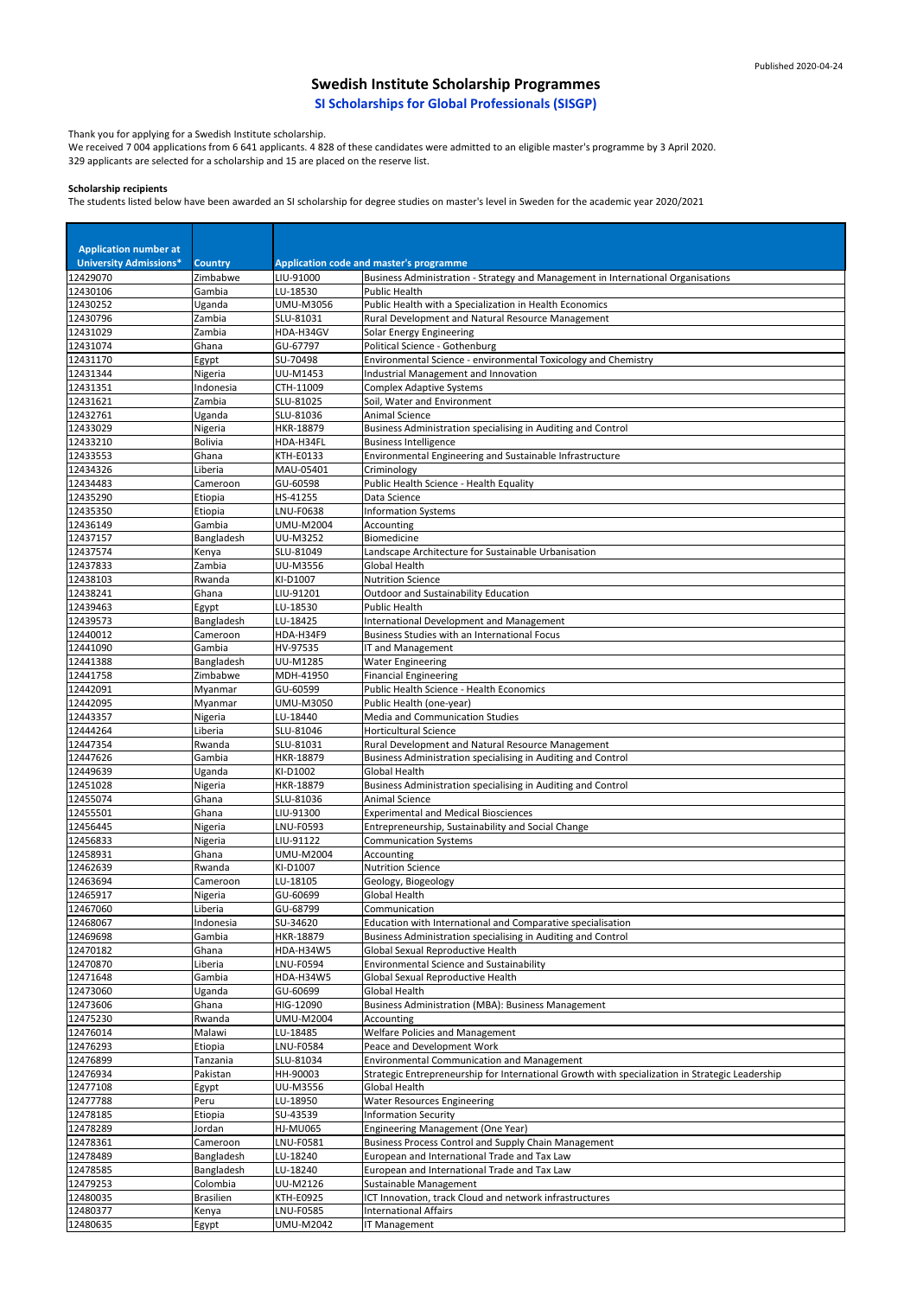Thank you for applying for a Swedish Institute scholarship.

We received 7 004 applications from 6 641 applicants. 4 828 of these candidates were admitted to an eligible master's programme by 3 April 2020. 329 applicants are selected for a scholarship and 15 are placed on the reserve list.

#### **Scholarship recipients**

The students listed below have been awarded an SI scholarship for degree studies on master's level in Sweden for the academic year 2020/2021

| <b>Application number at</b>  |                        |                              |                                                                                                   |
|-------------------------------|------------------------|------------------------------|---------------------------------------------------------------------------------------------------|
| <b>University Admissions*</b> | <b>Country</b>         |                              | Application code and master's programme                                                           |
| 12429070                      | Zimbabwe               | LIU-91000<br>LU-18530        | Business Administration - Strategy and Management in International Organisations<br>Public Health |
| 12430106<br>12430252          | Gambia<br>Uganda       | UMU-M3056                    | Public Health with a Specialization in Health Economics                                           |
| 12430796                      | Zambia                 | SLU-81031                    | Rural Development and Natural Resource Management                                                 |
| 12431029                      | Zambia                 | HDA-H34GV                    | Solar Energy Engineering                                                                          |
| 12431074                      | Ghana                  | GU-67797                     | Political Science - Gothenburg                                                                    |
| 12431170                      | Egypt                  | SU-70498                     | Environmental Science - environmental Toxicology and Chemistry                                    |
| 12431344                      | Nigeria                | UU-M1453                     | Industrial Management and Innovation                                                              |
| 12431351                      | Indonesia              | CTH-11009                    | <b>Complex Adaptive Systems</b>                                                                   |
| 12431621<br>12432761          | Zambia<br>Uganda       | SLU-81025<br>SLU-81036       | Soil, Water and Environment<br><b>Animal Science</b>                                              |
| 12433029                      | Nigeria                | HKR-18879                    | Business Administration specialising in Auditing and Control                                      |
| 12433210                      | Bolivia                | HDA-H34FL                    | <b>Business Intelligence</b>                                                                      |
| 12433553                      | Ghana                  | KTH-E0133                    | Environmental Engineering and Sustainable Infrastructure                                          |
| 12434326                      | Liberia                | MAU-05401                    | Criminology                                                                                       |
| 12434483                      | Cameroon               | GU-60598                     | Public Health Science - Health Equality                                                           |
| 12435290                      | Etiopia                | HS-41255                     | Data Science                                                                                      |
| 12435350                      | Etiopia                | <b>LNU-F0638</b>             | <b>Information Systems</b>                                                                        |
| 12436149                      | Gambia                 | UMU-M2004<br><b>UU-M3252</b> | Accounting<br>Biomedicine                                                                         |
| 12437157<br>12437574          | Bangladesh<br>Kenya    | SLU-81049                    | Landscape Architecture for Sustainable Urbanisation                                               |
| 12437833                      | Zambia                 | UU-M3556                     | <b>Global Health</b>                                                                              |
| 12438103                      | Rwanda                 | KI-D1007                     | <b>Nutrition Science</b>                                                                          |
| 12438241                      | Ghana                  | LIU-91201                    | <b>Outdoor and Sustainability Education</b>                                                       |
| 12439463                      | Egypt                  | LU-18530                     | <b>Public Health</b>                                                                              |
| 12439573                      | Bangladesh             | LU-18425                     | International Development and Management                                                          |
| 12440012                      | Cameroon               | HDA-H34F9                    | <b>Business Studies with an International Focus</b>                                               |
| 12441090                      | Gambia                 | HV-97535                     | IT and Management                                                                                 |
| 12441388<br>12441758          | Bangladesh<br>Zimbabwe | UU-M1285<br>MDH-41950        | <b>Water Engineering</b><br><b>Financial Engineering</b>                                          |
| 12442091                      | Myanmar                | GU-60599                     | Public Health Science - Health Economics                                                          |
| 12442095                      | Myanmar                | UMU-M3050                    | Public Health (one-year)                                                                          |
| 12443357                      | Nigeria                | LU-18440                     | Media and Communication Studies                                                                   |
| 12444264                      | Liberia                | SLU-81046                    | <b>Horticultural Science</b>                                                                      |
| 12447354                      | Rwanda                 | SLU-81031                    | Rural Development and Natural Resource Management                                                 |
| 12447626                      | Gambia                 | HKR-18879                    | Business Administration specialising in Auditing and Control                                      |
| 12449639<br>12451028          | Uganda                 | KI-D1002<br>HKR-18879        | <b>Global Health</b>                                                                              |
| 12455074                      | Nigeria<br>Ghana       | SLU-81036                    | Business Administration specialising in Auditing and Control<br><b>Animal Science</b>             |
| 12455501                      | Ghana                  | LIU-91300                    | <b>Experimental and Medical Biosciences</b>                                                       |
| 12456445                      | Nigeria                | LNU-F0593                    | Entrepreneurship, Sustainability and Social Change                                                |
| 12456833                      | Nigeria                | LIU-91122                    | <b>Communication Systems</b>                                                                      |
| 12458931                      | Ghana                  | UMU-M2004                    | Accounting                                                                                        |
| 12462639                      | Rwanda                 | KI-D1007                     | <b>Nutrition Science</b>                                                                          |
| 12463694                      | Cameroon               | LU-18105                     | Geology, Biogeology                                                                               |
| 12465917<br>12467060          | Nigeria<br>Liberia     | GU-60699<br>GU-68799         | Global Health<br>Communication                                                                    |
| 12468067                      | Indonesia              | SU-34620                     | Education with International and Comparative specialisation                                       |
| 12469698                      | Gambia                 | HKR-18879                    | Business Administration specialising in Auditing and Control                                      |
| 12470182                      | Ghana                  | HDA-H34W5                    | Global Sexual Reproductive Health                                                                 |
| 12470870                      | Liberia                | LNU-F0594                    | <b>Environmental Science and Sustainability</b>                                                   |
| 12471648                      | Gambia                 | HDA-H34W5                    | Global Sexual Reproductive Health                                                                 |
| 12473060                      | Uganda                 | GU-60699                     | Global Health                                                                                     |
| 12473606<br>12475230          | Ghana<br>Rwanda        | HIG-12090<br>UMU-M2004       | <b>Business Administration (MBA): Business Management</b><br>Accounting                           |
| 12476014                      | Malawi                 | LU-18485                     | <b>Welfare Policies and Management</b>                                                            |
| 12476293                      | Etiopia                | LNU-F0584                    | Peace and Development Work                                                                        |
| 12476899                      | Tanzania               | SLU-81034                    | Environmental Communication and Management                                                        |
| 12476934                      | Pakistan               | HH-90003                     | Strategic Entrepreneurship for International Growth with specialization in Strategic Leadership   |
| 12477108                      | Egypt                  | UU-M3556                     | <b>Global Health</b>                                                                              |
| 12477788                      | Peru                   | LU-18950                     | <b>Water Resources Engineering</b>                                                                |
| 12478185                      | Etiopia                | SU-43539                     | <b>Information Security</b>                                                                       |
| 12478289<br>12478361          | Jordan<br>Cameroon     | <b>HJ-MU065</b><br>LNU-F0581 | Engineering Management (One Year)<br><b>Business Process Control and Supply Chain Management</b>  |
| 12478489                      | Bangladesh             | LU-18240                     | European and International Trade and Tax Law                                                      |
| 12478585                      | Bangladesh             | LU-18240                     | European and International Trade and Tax Law                                                      |
| 12479253                      | Colombia               | UU-M2126                     | Sustainable Management                                                                            |
| 12480035                      | <b>Brasilien</b>       | <b>KTH-E0925</b>             | ICT Innovation, track Cloud and network infrastructures                                           |
| 12480377                      | Kenya                  | <b>LNU-F0585</b>             | <b>International Affairs</b>                                                                      |
| 12480635                      | Egypt                  | <b>UMU-M2042</b>             | <b>IT Management</b>                                                                              |

# **Swedish Institute Scholarship Programmes**

**SI Scholarships for Global Professionals (SISGP)**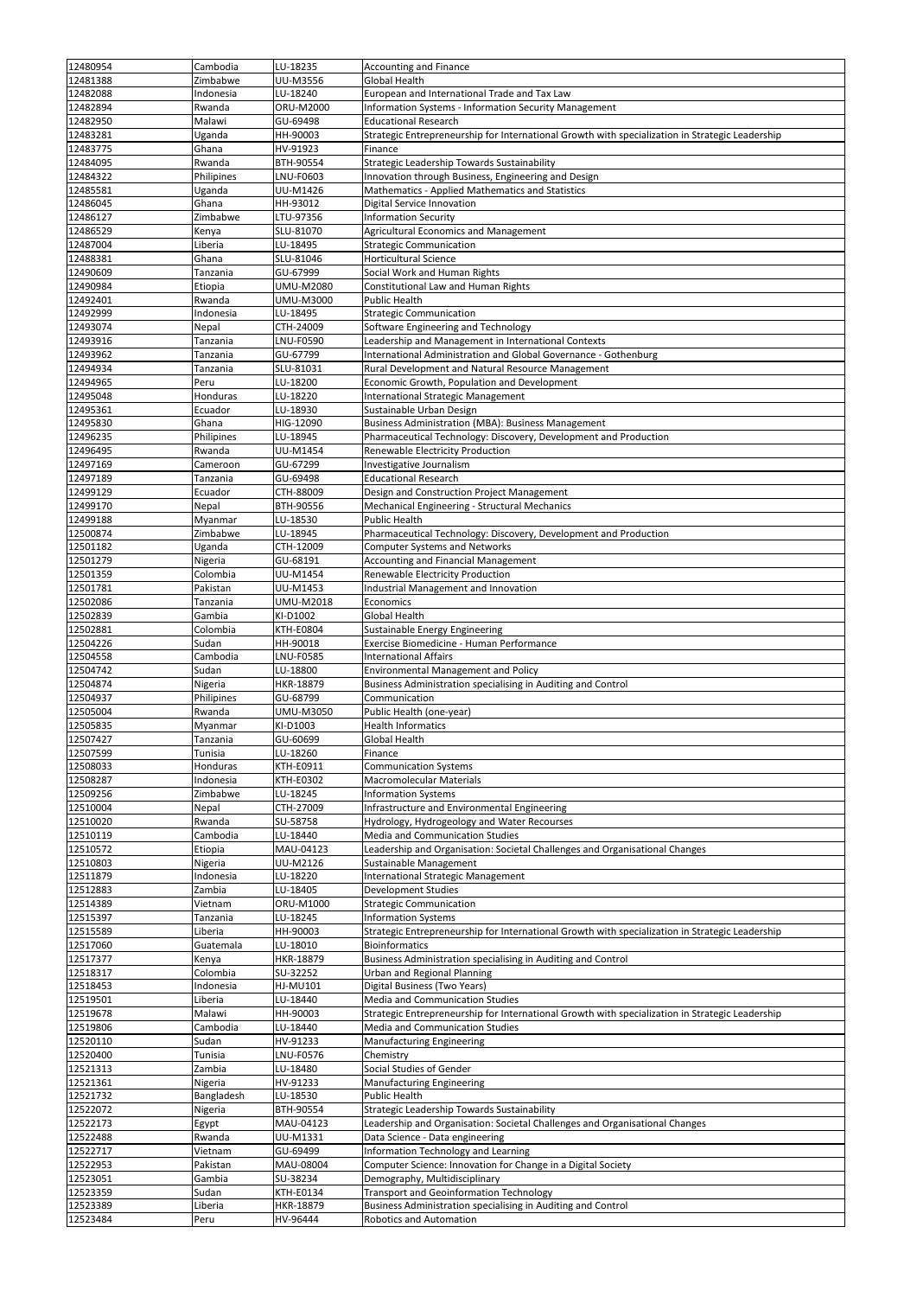|          |            | LU-18235         |                                                                                                 |
|----------|------------|------------------|-------------------------------------------------------------------------------------------------|
| 12480954 | Cambodia   |                  | <b>Accounting and Finance</b>                                                                   |
| 12481388 | Zimbabwe   | UU-M3556         | <b>Global Health</b>                                                                            |
| 12482088 | Indonesia  | LU-18240         | European and International Trade and Tax Law                                                    |
| 12482894 | Rwanda     | ORU-M2000        | <b>Information Systems - Information Security Management</b>                                    |
| 12482950 | Malawi     | GU-69498         | <b>Educational Research</b>                                                                     |
| 12483281 | Uganda     | HH-90003         | Strategic Entrepreneurship for International Growth with specialization in Strategic Leadership |
| 12483775 | Ghana      | HV-91923         | Finance                                                                                         |
| 12484095 | Rwanda     | BTH-90554        | Strategic Leadership Towards Sustainability                                                     |
|          |            |                  |                                                                                                 |
| 12484322 | Philipines | LNU-F0603        | Innovation through Business, Engineering and Design                                             |
| 12485581 | Uganda     | UU-M1426         | Mathematics - Applied Mathematics and Statistics                                                |
| 12486045 | Ghana      | HH-93012         | Digital Service Innovation                                                                      |
| 12486127 | Zimbabwe   | LTU-97356        | <b>Information Security</b>                                                                     |
| 12486529 | Kenya      | SLU-81070        | <b>Agricultural Economics and Management</b>                                                    |
| 12487004 | Liberia    | LU-18495         | <b>Strategic Communication</b>                                                                  |
| 12488381 | Ghana      | SLU-81046        | Horticultural Science                                                                           |
| 12490609 | Tanzania   | GU-67999         | Social Work and Human Rights                                                                    |
| 12490984 | Etiopia    | <b>UMU-M2080</b> | Constitutional Law and Human Rights                                                             |
|          |            |                  |                                                                                                 |
| 12492401 | Rwanda     | UMU-M3000        | <b>Public Health</b>                                                                            |
| 12492999 | Indonesia  | LU-18495         | <b>Strategic Communication</b>                                                                  |
| 12493074 | Nepal      | CTH-24009        | Software Engineering and Technology                                                             |
| 12493916 | Tanzania   | LNU-F0590        | Leadership and Management in International Contexts                                             |
| 12493962 | Tanzania   | GU-67799         | International Administration and Global Governance - Gothenburg                                 |
| 12494934 | Tanzania   | SLU-81031        | Rural Development and Natural Resource Management                                               |
| 12494965 | Peru       | LU-18200         | Economic Growth, Population and Development                                                     |
| 12495048 | Honduras   | LU-18220         | International Strategic Management                                                              |
| 12495361 | Ecuador    | LU-18930         | Sustainable Urban Design                                                                        |
|          |            |                  |                                                                                                 |
| 12495830 | Ghana      | HIG-12090        | <b>Business Administration (MBA): Business Management</b>                                       |
| 12496235 | Philipines | LU-18945         | Pharmaceutical Technology: Discovery, Development and Production                                |
| 12496495 | Rwanda     | UU-M1454         | Renewable Electricity Production                                                                |
| 12497169 | Cameroon   | GU-67299         | Investigative Journalism                                                                        |
| 12497189 | Tanzania   | GU-69498         | <b>Educational Research</b>                                                                     |
| 12499129 | Ecuador    | CTH-88009        | Design and Construction Project Management                                                      |
| 12499170 | Nepal      | BTH-90556        | Mechanical Engineering - Structural Mechanics                                                   |
| 12499188 | Myanmar    | LU-18530         | <b>Public Health</b>                                                                            |
| 12500874 | Zimbabwe   | LU-18945         | Pharmaceutical Technology: Discovery, Development and Production                                |
|          |            |                  |                                                                                                 |
| 12501182 | Uganda     | CTH-12009        | <b>Computer Systems and Networks</b>                                                            |
| 12501279 | Nigeria    | GU-68191         | Accounting and Financial Management                                                             |
| 12501359 | Colombia   | UU-M1454         | Renewable Electricity Production                                                                |
| 12501781 | Pakistan   | UU-M1453         | Industrial Management and Innovation                                                            |
| 12502086 | Tanzania   | <b>UMU-M2018</b> | Economics                                                                                       |
| 12502839 | Gambia     | KI-D1002         | <b>Global Health</b>                                                                            |
| 12502881 | Colombia   | KTH-E0804        | Sustainable Energy Engineering                                                                  |
| 12504226 | Sudan      | HH-90018         | Exercise Biomedicine - Human Performance                                                        |
|          |            |                  |                                                                                                 |
| 12504558 | Cambodia   | <b>LNU-F0585</b> | <b>International Affairs</b>                                                                    |
| 12504742 | Sudan      | LU-18800         | <b>Environmental Management and Policy</b>                                                      |
| 12504874 | Nigeria    | HKR-18879        | Business Administration specialising in Auditing and Control                                    |
| 12504937 | Philipines | GU-68799         | Communication                                                                                   |
| 12505004 | Rwanda     | UMU-M3050        | Public Health (one-year)                                                                        |
| 12505835 | Myanmar    | KI-D1003         | <b>Health Informatics</b>                                                                       |
| 12507427 | Tanzania   | GU-60699         | Global Health                                                                                   |
| 12507599 | Tunisia    | LU-18260         | Finance                                                                                         |
| 12508033 | Honduras   | KTH-E0911        |                                                                                                 |
|          |            |                  | Communication Systems                                                                           |
| 12508287 | Indonesia  | KTH-E0302        | <b>Macromolecular Materials</b>                                                                 |
| 12509256 | Zimbabwe   | LU-18245         | <b>Information Systems</b>                                                                      |
| 12510004 | Nepal      | CTH-27009        | Infrastructure and Environmental Engineering                                                    |
| 12510020 | Rwanda     | SU-58758         | Hydrology, Hydrogeology and Water Recourses                                                     |
| 12510119 | Cambodia   | LU-18440         | Media and Communication Studies                                                                 |
| 12510572 | Etiopia    | MAU-04123        | Leadership and Organisation: Societal Challenges and Organisational Changes                     |
| 12510803 | Nigeria    | UU-M2126         | Sustainable Management                                                                          |
| 12511879 | Indonesia  | LU-18220         | International Strategic Management                                                              |
| 12512883 | Zambia     | LU-18405         | Development Studies                                                                             |
|          |            |                  |                                                                                                 |
| 12514389 | Vietnam    | ORU-M1000        | <b>Strategic Communication</b>                                                                  |
| 12515397 | Tanzania   | LU-18245         | <b>Information Systems</b>                                                                      |
| 12515589 | Liberia    | HH-90003         | Strategic Entrepreneurship for International Growth with specialization in Strategic Leadership |
| 12517060 | Guatemala  | LU-18010         | <b>Bioinformatics</b>                                                                           |
| 12517377 | Kenya      | HKR-18879        | Business Administration specialising in Auditing and Control                                    |
| 12518317 | Colombia   | SU-32252         | <b>Urban and Regional Planning</b>                                                              |
| 12518453 | Indonesia  | HJ-MU101         | Digital Business (Two Years)                                                                    |
| 12519501 | Liberia    | LU-18440         | <b>Media and Communication Studies</b>                                                          |
| 12519678 | Malawi     | HH-90003         | Strategic Entrepreneurship for International Growth with specialization in Strategic Leadership |
| 12519806 | Cambodia   | LU-18440         | Media and Communication Studies                                                                 |
|          |            |                  |                                                                                                 |
| 12520110 | Sudan      | HV-91233         | <b>Manufacturing Engineering</b>                                                                |
| 12520400 | Tunisia    | LNU-F0576        | Chemistry                                                                                       |
| 12521313 | Zambia     | LU-18480         | Social Studies of Gender                                                                        |
| 12521361 | Nigeria    | HV-91233         | <b>Manufacturing Engineering</b>                                                                |
| 12521732 | Bangladesh | LU-18530         | Public Health                                                                                   |
| 12522072 | Nigeria    | BTH-90554        | Strategic Leadership Towards Sustainability                                                     |
| 12522173 | Egypt      | MAU-04123        | Leadership and Organisation: Societal Challenges and Organisational Changes                     |
| 12522488 | Rwanda     | UU-M1331         | Data Science - Data engineering                                                                 |
| 12522717 | Vietnam    | GU-69499         | Information Technology and Learning                                                             |
|          |            |                  | Computer Science: Innovation for Change in a Digital Society                                    |
| 12522953 | Pakistan   | MAU-08004        |                                                                                                 |
| 12523051 | Gambia     | SU-38234         | Demography, Multidisciplinary                                                                   |
| 12523359 | Sudan      | KTH-E0134        | <b>Transport and Geoinformation Technology</b>                                                  |
| 12523389 | Liberia    | HKR-18879        | Business Administration specialising in Auditing and Control                                    |
| 12523484 | Peru       | HV-96444         | Robotics and Automation                                                                         |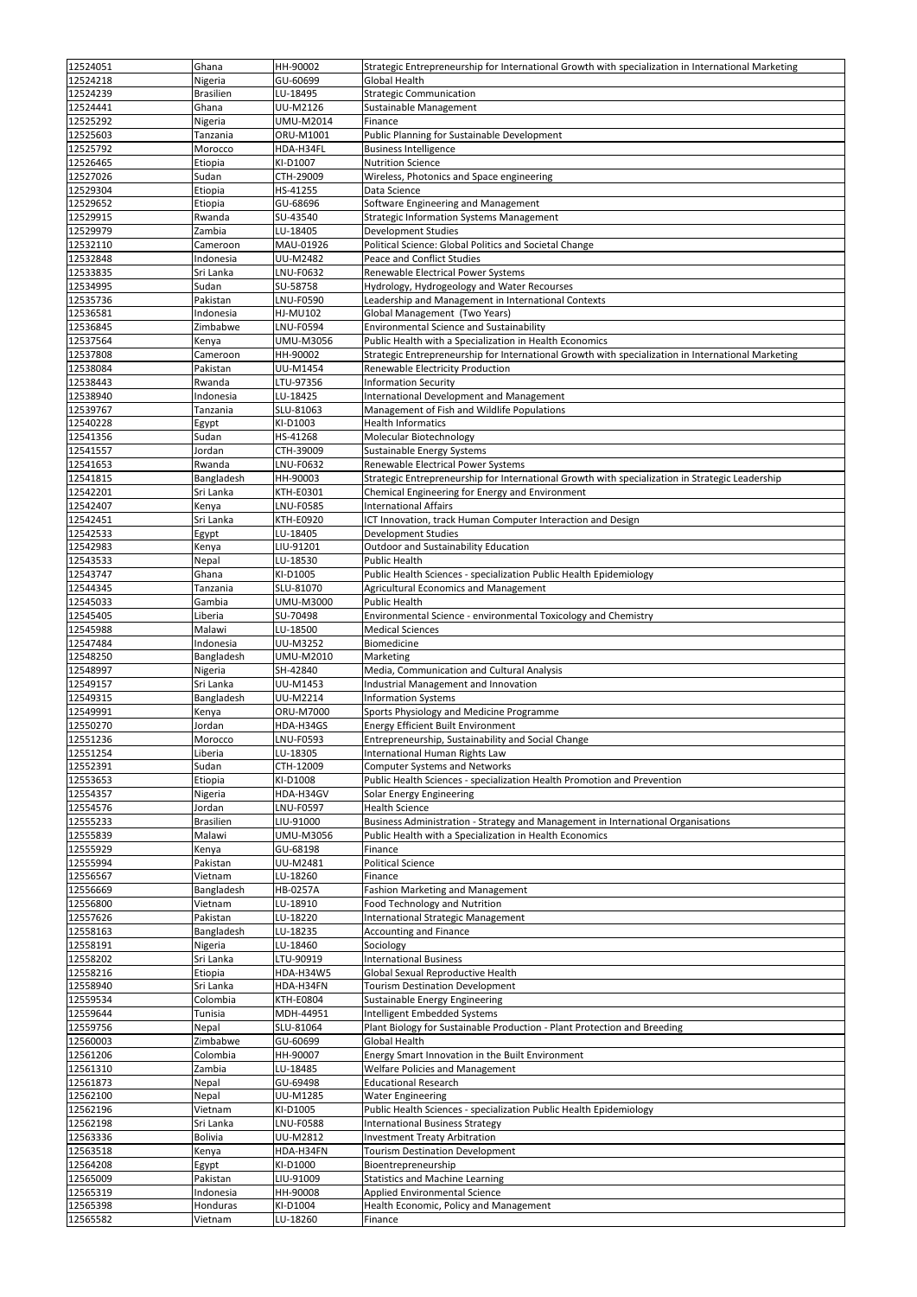| 12524051 | Ghana            | HH-90002         | Strategic Entrepreneurship for International Growth with specialization in International Marketing |
|----------|------------------|------------------|----------------------------------------------------------------------------------------------------|
| 12524218 | Nigeria          | GU-60699         | <b>Global Health</b>                                                                               |
| 12524239 | <b>Brasilien</b> | LU-18495         | <b>Strategic Communication</b>                                                                     |
| 12524441 | Ghana            | UU-M2126         | Sustainable Management                                                                             |
| 12525292 | Nigeria          | UMU-M2014        | Finance                                                                                            |
| 12525603 | Tanzania         | ORU-M1001        | Public Planning for Sustainable Development                                                        |
| 12525792 | Morocco          | HDA-H34FL        | <b>Business Intelligence</b>                                                                       |
| 12526465 | Etiopia          | KI-D1007         | <b>Nutrition Science</b>                                                                           |
| 12527026 | Sudan            | CTH-29009        | Wireless, Photonics and Space engineering                                                          |
| 12529304 | Etiopia          | HS-41255         | Data Science                                                                                       |
| 12529652 | Etiopia          | GU-68696         | Software Engineering and Management                                                                |
| 12529915 | Rwanda           | SU-43540         |                                                                                                    |
| 12529979 | Zambia           | LU-18405         | <b>Strategic Information Systems Management</b><br>Development Studies                             |
| 12532110 | Cameroon         | MAU-01926        | Political Science: Global Politics and Societal Change                                             |
| 12532848 | Indonesia        | UU-M2482         | Peace and Conflict Studies                                                                         |
| 12533835 | Sri Lanka        | LNU-F0632        | Renewable Electrical Power Systems                                                                 |
| 12534995 | Sudan            | SU-58758         | Hydrology, Hydrogeology and Water Recourses                                                        |
| 12535736 | Pakistan         | LNU-F0590        | Leadership and Management in International Contexts                                                |
| 12536581 | Indonesia        | <b>HJ-MU102</b>  | Global Management (Two Years)                                                                      |
| 12536845 | Zimbabwe         | <b>LNU-F0594</b> | <b>Environmental Science and Sustainability</b>                                                    |
| 12537564 | Kenya            | <b>UMU-M3056</b> | Public Health with a Specialization in Health Economics                                            |
| 12537808 | Cameroon         | HH-90002         | Strategic Entrepreneurship for International Growth with specialization in International Marketing |
| 12538084 | Pakistan         | UU-M1454         | Renewable Electricity Production                                                                   |
| 12538443 | Rwanda           | LTU-97356        | <b>Information Security</b>                                                                        |
| 12538940 | Indonesia        | LU-18425         | <b>International Development and Management</b>                                                    |
| 12539767 | Tanzania         | SLU-81063        | Management of Fish and Wildlife Populations                                                        |
| 12540228 | Egypt            | KI-D1003         | <b>Health Informatics</b>                                                                          |
| 12541356 | Sudan            | HS-41268         | Molecular Biotechnology                                                                            |
| 12541557 | Jordan           | CTH-39009        | Sustainable Energy Systems                                                                         |
| 12541653 | Rwanda           | LNU-F0632        | Renewable Electrical Power Systems                                                                 |
| 12541815 | Bangladesh       | HH-90003         | Strategic Entrepreneurship for International Growth with specialization in Strategic Leadership    |
| 12542201 | Sri Lanka        | KTH-E0301        | Chemical Engineering for Energy and Environment                                                    |
| 12542407 | Kenya            | LNU-F0585        | <b>International Affairs</b>                                                                       |
| 12542451 | Sri Lanka        | KTH-E0920        | ICT Innovation, track Human Computer Interaction and Design                                        |
| 12542533 | Egypt            | LU-18405         | Development Studies                                                                                |
| 12542983 | Kenya            | LIU-91201        | Outdoor and Sustainability Education                                                               |
| 12543533 | Nepal            | LU-18530         | <b>Public Health</b>                                                                               |
| 12543747 | Ghana            | KI-D1005         | Public Health Sciences - specialization Public Health Epidemiology                                 |
| 12544345 | Tanzania         | SLU-81070        | Agricultural Economics and Management                                                              |
| 12545033 | Gambia           | UMU-M3000        | <b>Public Health</b>                                                                               |
| 12545405 | Liberia          | SU-70498         | Environmental Science - environmental Toxicology and Chemistry                                     |
| 12545988 | Malawi           | LU-18500         | <b>Medical Sciences</b>                                                                            |
| 12547484 | Indonesia        | UU-M3252         | Biomedicine                                                                                        |
| 12548250 | Bangladesh       | UMU-M2010        | Marketing                                                                                          |
| 12548997 | Nigeria          | SH-42840         | Media, Communication and Cultural Analysis                                                         |
| 12549157 | Sri Lanka        | UU-M1453         | Industrial Management and Innovation                                                               |
| 12549315 | Bangladesh       | UU-M2214         | <b>Information Systems</b>                                                                         |
| 12549991 | Kenya            | ORU-M7000        | Sports Physiology and Medicine Programme                                                           |
| 12550270 | Jordan           | HDA-H34GS        | <b>Energy Efficient Built Environment</b>                                                          |
| 12551236 | Morocco          | LNU-F0593        | Entrepreneurship, Sustainability and Social Change                                                 |
| 12551254 | Liberia          | LU-18305         | International Human Rights Law                                                                     |
| 12552391 | Sudan            | CTH-12009        | <b>Computer Systems and Networks</b>                                                               |
| 12553653 | Etiopia          | KI-D1008         | Public Health Sciences - specialization Health Promotion and Prevention                            |
| 12554357 | Nigeria          | HDA-H34GV        | Solar Energy Engineering                                                                           |
| 12554576 | Jordan           | LNU-F0597        | <b>Health Science</b>                                                                              |
| 12555233 | <b>Brasilien</b> | LIU-91000        | Business Administration - Strategy and Management in International Organisations                   |
| 12555839 | Malawi           | UMU-M3056        | Public Health with a Specialization in Health Economics                                            |
| 12555929 | Kenya            | GU-68198         | Finance                                                                                            |
| 12555994 | Pakistan         | UU-M2481         | <b>Political Science</b>                                                                           |
| 12556567 | Vietnam          | LU-18260         | Finance                                                                                            |
| 12556669 | Bangladesh       | HB-0257A         | Fashion Marketing and Management                                                                   |
| 12556800 | Vietnam          | LU-18910         | <b>Food Technology and Nutrition</b>                                                               |
| 12557626 | Pakistan         | LU-18220         | <b>International Strategic Management</b>                                                          |
| 12558163 | Bangladesh       | LU-18235         | <b>Accounting and Finance</b>                                                                      |
| 12558191 | Nigeria          | LU-18460         | Sociology                                                                                          |
| 12558202 | Sri Lanka        | LTU-90919        | <b>International Business</b>                                                                      |
| 12558216 | Etiopia          | HDA-H34W5        | Global Sexual Reproductive Health                                                                  |
| 12558940 | Sri Lanka        | HDA-H34FN        | <b>Tourism Destination Development</b>                                                             |
| 12559534 | Colombia         | <b>KTH-E0804</b> | Sustainable Energy Engineering                                                                     |
| 12559644 | Tunisia          | MDH-44951        | Intelligent Embedded Systems                                                                       |
| 12559756 | Nepal            | SLU-81064        | Plant Biology for Sustainable Production - Plant Protection and Breeding                           |
| 12560003 | Zimbabwe         | GU-60699         | Global Health                                                                                      |
| 12561206 | Colombia         | HH-90007         | Energy Smart Innovation in the Built Environment                                                   |
| 12561310 | Zambia           | LU-18485         | <b>Welfare Policies and Management</b>                                                             |
| 12561873 | Nepal            | GU-69498         | <b>Educational Research</b>                                                                        |
| 12562100 | Nepal            | UU-M1285         | <b>Water Engineering</b>                                                                           |
| 12562196 | Vietnam          | KI-D1005         | Public Health Sciences - specialization Public Health Epidemiology                                 |
| 12562198 | Sri Lanka        | LNU-F0588        | <b>International Business Strategy</b>                                                             |
| 12563336 | <b>Bolivia</b>   | UU-M2812         | <b>Investment Treaty Arbitration</b>                                                               |
| 12563518 | Kenya            | HDA-H34FN        | <b>Tourism Destination Development</b>                                                             |
| 12564208 | Egypt            | KI-D1000         | Bioentrepreneurship                                                                                |
| 12565009 | Pakistan         | LIU-91009        | <b>Statistics and Machine Learning</b>                                                             |
| 12565319 | Indonesia        | HH-90008         | <b>Applied Environmental Science</b>                                                               |
| 12565398 | Honduras         | KI-D1004         | Health Economic, Policy and Management                                                             |
| 12565582 | Vietnam          | LU-18260         | Finance                                                                                            |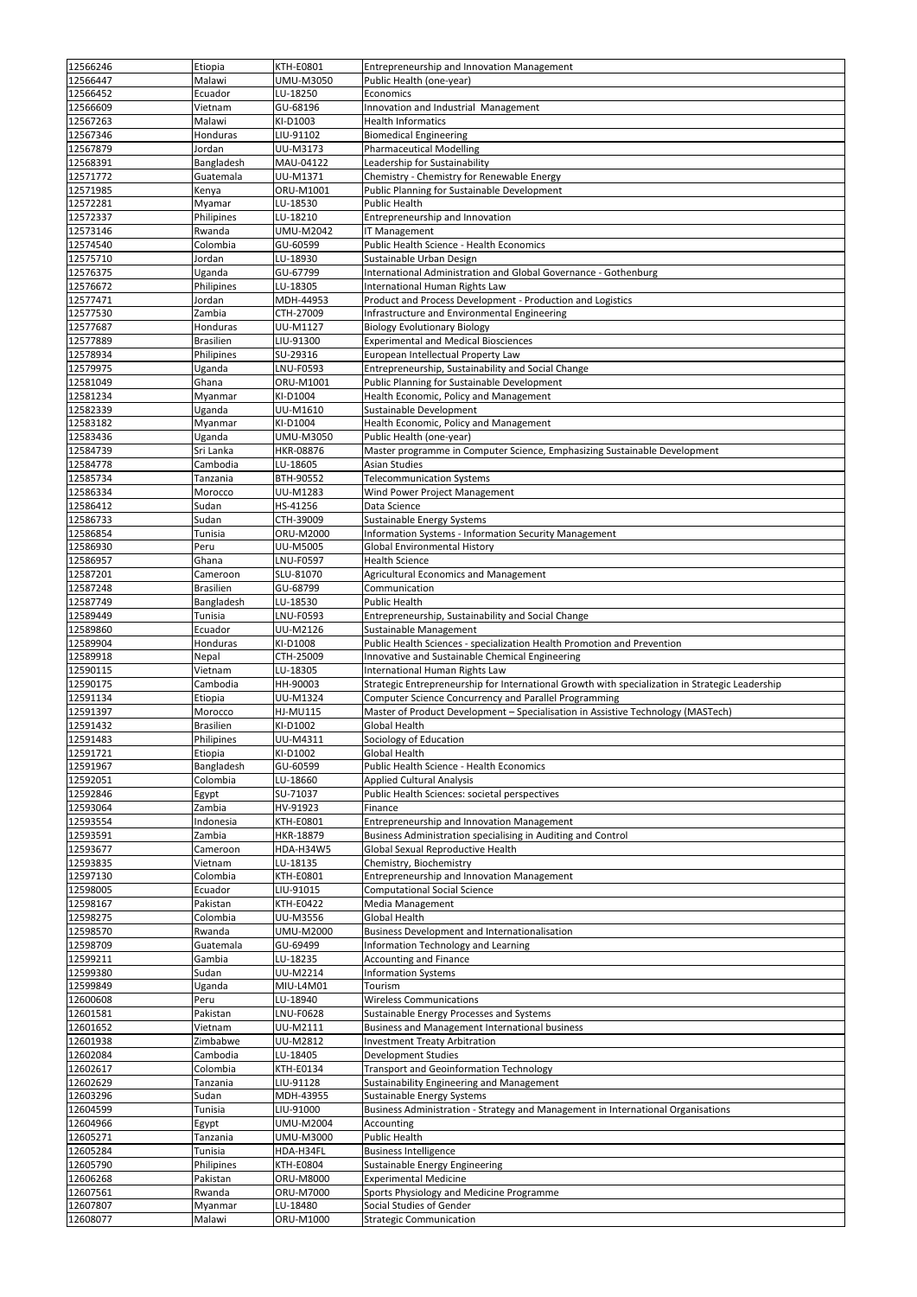| 12566246             |                   |                       |                                                                                                 |
|----------------------|-------------------|-----------------------|-------------------------------------------------------------------------------------------------|
|                      | Etiopia           | <b>KTH-E0801</b>      | Entrepreneurship and Innovation Management                                                      |
| 12566447             | Malawi            | UMU-M3050             | Public Health (one-year)                                                                        |
| 12566452             | Ecuador           | LU-18250              | Economics                                                                                       |
| 12566609             | Vietnam           | GU-68196              | Innovation and Industrial Management                                                            |
| 12567263             | Malawi            | KI-D1003              | <b>Health Informatics</b>                                                                       |
| 12567346             | Honduras          | LIU-91102             | <b>Biomedical Engineering</b>                                                                   |
| 12567879             |                   | UU-M3173              | <b>Pharmaceutical Modelling</b>                                                                 |
|                      | Jordan            |                       |                                                                                                 |
| 12568391             | Bangladesh        | MAU-04122             | Leadership for Sustainability                                                                   |
| 12571772             | Guatemala         | UU-M1371              | Chemistry - Chemistry for Renewable Energy                                                      |
| 12571985             | Kenya             | ORU-M1001             | Public Planning for Sustainable Development                                                     |
| 12572281             | Myamar            | LU-18530              | <b>Public Health</b>                                                                            |
| 12572337             | Philipines        | LU-18210              | Entrepreneurship and Innovation                                                                 |
| 12573146             | Rwanda            | <b>UMU-M2042</b>      | IT Management                                                                                   |
|                      |                   |                       |                                                                                                 |
| 12574540             | Colombia          | GU-60599              | Public Health Science - Health Economics                                                        |
| 12575710             | Jordan            | LU-18930              | Sustainable Urban Design                                                                        |
| 12576375             | Uganda            | GU-67799              | International Administration and Global Governance - Gothenburg                                 |
| 12576672             | Philipines        | LU-18305              | International Human Rights Law                                                                  |
| 12577471             | Jordan            | MDH-44953             | Product and Process Development - Production and Logistics                                      |
| 12577530             | Zambia            | CTH-27009             | Infrastructure and Environmental Engineering                                                    |
| 12577687             | Honduras          | UU-M1127              |                                                                                                 |
|                      |                   |                       | <b>Biology Evolutionary Biology</b>                                                             |
| 12577889             | <b>Brasilien</b>  | LIU-91300             | <b>Experimental and Medical Biosciences</b>                                                     |
| 12578934             | Philipines        | SU-29316              | European Intellectual Property Law                                                              |
| 12579975             | Uganda            | LNU-F0593             | Entrepreneurship, Sustainability and Social Change                                              |
| 12581049             | Ghana             | ORU-M1001             | Public Planning for Sustainable Development                                                     |
| 12581234             | Myanmar           | KI-D1004              | Health Economic, Policy and Management                                                          |
| 12582339             | Uganda            | UU-M1610              | Sustainable Development                                                                         |
|                      |                   |                       |                                                                                                 |
| 12583182             | Myanmar           | KI-D1004              | Health Economic, Policy and Management                                                          |
| 12583436             | Uganda            | UMU-M3050             | Public Health (one-year)                                                                        |
| 12584739             | Sri Lanka         | HKR-08876             | Master programme in Computer Science, Emphasizing Sustainable Development                       |
| 12584778             | Cambodia          | LU-18605              | <b>Asian Studies</b>                                                                            |
| 12585734             | Tanzania          | BTH-90552             | <b>Telecommunication Systems</b>                                                                |
| 12586334             | Morocco           | UU-M1283              | Wind Power Project Management                                                                   |
|                      |                   |                       |                                                                                                 |
| 12586412             | Sudan             | HS-41256              | Data Science                                                                                    |
| 12586733             | Sudan             | CTH-39009             | Sustainable Energy Systems                                                                      |
| 12586854             | Tunisia           | ORU-M2000             | Information Systems - Information Security Management                                           |
| 12586930             | Peru              | UU-M5005              | Global Environmental History                                                                    |
| 12586957             | Ghana             | LNU-F0597             | <b>Health Science</b>                                                                           |
| 12587201             | Cameroon          | SLU-81070             | Agricultural Economics and Management                                                           |
|                      |                   |                       |                                                                                                 |
| 12587248             | <b>Brasilien</b>  | GU-68799              | Communication                                                                                   |
| 12587749             | Bangladesh        | LU-18530              | Public Health                                                                                   |
| 12589449             | Tunisia           | LNU-F0593             | Entrepreneurship, Sustainability and Social Change                                              |
| 12589860             | Ecuador           | UU-M2126              | Sustainable Management                                                                          |
| 12589904             | <b>Honduras</b>   | KI-D1008              | Public Health Sciences - specialization Health Promotion and Prevention                         |
| 12589918             | Nepal             | CTH-25009             | Innovative and Sustainable Chemical Engineering                                                 |
|                      |                   |                       |                                                                                                 |
|                      |                   |                       |                                                                                                 |
| 12590115             | Vietnam           | LU-18305              | International Human Rights Law                                                                  |
| 12590175             | Cambodia          | HH-90003              | Strategic Entrepreneurship for International Growth with specialization in Strategic Leadership |
| 12591134             | Etiopia           | UU-M1324              | Computer Science Concurrency and Parallel Programming                                           |
| 12591397             | Morocco           | <b>HJ-MU115</b>       | Master of Product Development - Specialisation in Assistive Technology (MASTech)                |
|                      | <b>Brasilien</b>  | KI-D1002              | Global Health                                                                                   |
| 12591432             |                   |                       |                                                                                                 |
| 12591483             | Philipines        | UU-M4311              | Sociology of Education                                                                          |
| 12591721             | Etiopia           | KI-D1002              | Global Health                                                                                   |
| 12591967             | Bangladesh        | GU-60599              | <b>Public Health Science - Health Economics</b>                                                 |
| 12592051             | Colombia          | LU-18660              | <b>Applied Cultural Analysis</b>                                                                |
| 12592846             | Egypt             | SU-71037              | Public Health Sciences: societal perspectives                                                   |
| 12593064             | Zambia            | HV-91923              | Finance                                                                                         |
| 12593554             | Indonesia         | <b>KTH-E0801</b>      | Entrepreneurship and Innovation Management                                                      |
|                      |                   |                       |                                                                                                 |
| 12593591             | Zambia            | HKR-18879             | Business Administration specialising in Auditing and Control                                    |
| 12593677             | Cameroon          | HDA-H34W5             | Global Sexual Reproductive Health                                                               |
| 12593835             | Vietnam           | LU-18135              | Chemistry, Biochemistry                                                                         |
| 12597130             | Colombia          | <b>KTH-E0801</b>      | Entrepreneurship and Innovation Management                                                      |
| 12598005             | Ecuador           | LIU-91015             | <b>Computational Social Science</b>                                                             |
| 12598167             | Pakistan          | <b>KTH-E0422</b>      | Media Management                                                                                |
| 12598275             | Colombia          | <b>UU-M3556</b>       | <b>Global Health</b>                                                                            |
|                      |                   |                       |                                                                                                 |
| 12598570             | Rwanda            | UMU-M2000             | <b>Business Development and Internationalisation</b>                                            |
| 12598709             | Guatemala         | GU-69499              | Information Technology and Learning                                                             |
| 12599211             | Gambia            | LU-18235              | Accounting and Finance                                                                          |
| 12599380             | Sudan             | UU-M2214              | <b>Information Systems</b>                                                                      |
| 12599849             | Uganda            | MIU-L4M01             | Tourism                                                                                         |
| 12600608             | Peru              | LU-18940              | <b>Wireless Communications</b>                                                                  |
|                      |                   |                       |                                                                                                 |
| 12601581             | Pakistan          | LNU-F0628             | Sustainable Energy Processes and Systems                                                        |
| 12601652             | Vietnam           | UU-M2111              | <b>Business and Management International business</b>                                           |
| 12601938             | Zimbabwe          | UU-M2812              | <b>Investment Treaty Arbitration</b>                                                            |
| 12602084             | Cambodia          | LU-18405              | Development Studies                                                                             |
| 12602617             | Colombia          | <b>KTH-E0134</b>      | <b>Transport and Geoinformation Technology</b>                                                  |
| 12602629             | Tanzania          | LIU-91128             | Sustainability Engineering and Management                                                       |
| 12603296             | Sudan             | MDH-43955             |                                                                                                 |
|                      |                   |                       | <b>Sustainable Energy Systems</b>                                                               |
| 12604599             | Tunisia           | LIU-91000             | Business Administration - Strategy and Management in International Organisations                |
| 12604966             | Egypt             | <b>UMU-M2004</b>      | Accounting                                                                                      |
| 12605271             | Tanzania          | UMU-M3000             | Public Health                                                                                   |
| 12605284             | Tunisia           | HDA-H34FL             | <b>Business Intelligence</b>                                                                    |
| 12605790             | Philipines        | <b>KTH-E0804</b>      | Sustainable Energy Engineering                                                                  |
| 12606268             | Pakistan          | ORU-M8000             | <b>Experimental Medicine</b>                                                                    |
|                      |                   |                       |                                                                                                 |
| 12607561             | Rwanda            | ORU-M7000             | Sports Physiology and Medicine Programme                                                        |
| 12607807<br>12608077 | Myanmar<br>Malawi | LU-18480<br>ORU-M1000 | Social Studies of Gender<br><b>Strategic Communication</b>                                      |